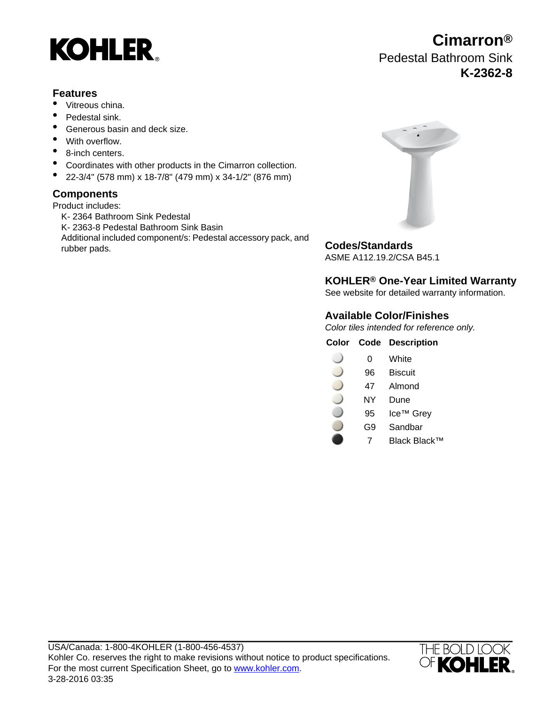

## **Features**

- Vitreous china.
- Pedestal sink.
- Generous basin and deck size.
- With overflow.
- 8-inch centers.
- Coordinates with other products in the Cimarron collection.
- 22-3/4" (578 mm) x 18-7/8" (479 mm) x 34-1/2" (876 mm)

# **Components**

Product includes:

K- 2364 Bathroom Sink Pedestal K- 2363-8 Pedestal Bathroom Sink Basin Additional included component/s: Pedestal accessory pack, and rubber pads.<br> **Codes/Standards** 



ASME A112.19.2/CSA B45.1

# **KOHLER® One-Year Limited Warranty**

See website for detailed warranty information.

# **Available Color/Finishes**

Color tiles intended for reference only.

## **Color Code Description**

- 0 White
- 96 Biscuit
- 47 Almond
- NY Dune
- 95 Ice™ Grey
- G9 Sandbar
- 7 Black Black™



**Cimarron®** Pedestal Bathroom Sink **K-2362-8**